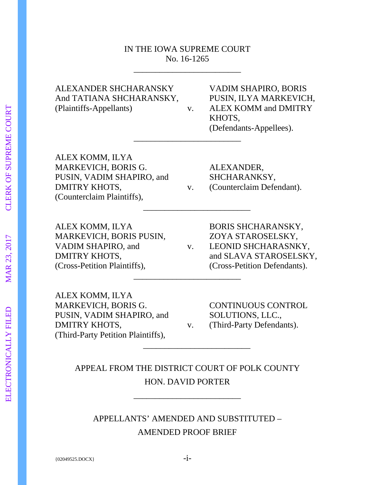# IN THE IOWA SUPREME COURT No. 16-1265

\_\_\_\_\_\_\_\_\_\_\_\_\_\_\_\_\_\_\_\_\_\_\_\_\_

\_\_\_\_\_\_\_\_\_\_\_\_\_\_\_\_\_\_\_\_\_\_\_\_\_

And TATIANA SHCHARANSKY, PUSIN, ILYA MARKEVICH, (Plaintiffs-Appellants) v. ALEX KOMM and DMITRY

ALEXANDER SHCHARANSKY VADIM SHAPIRO, BORIS KHOTS, (Defendants-Appellees). \_\_\_\_\_\_\_\_\_\_\_\_\_\_\_\_\_\_\_\_\_\_\_\_\_

ALEX KOMM, ILYA MARKEVICH, BORIS G. ALEXANDER, PUSIN, VADIM SHAPIRO, and SHCHARANKSY, DMITRY KHOTS,  $V.$  (Counterclaim Defendant). (Counterclaim Plaintiffs),

ALEX KOMM, ILYA BORIS SHCHARANSKY, MARKEVICH, BORIS PUSIN, ZOYA STAROSELSKY, (Cross-Petition Plaintiffs), (Cross-Petition Defendants).

VADIM SHAPIRO, and v. LEONID SHCHARASNKY, DMITRY KHOTS, and SLAVA STAROSELSKY, \_\_\_\_\_\_\_\_\_\_\_\_\_\_\_\_\_\_\_\_\_\_\_\_\_

ALEX KOMM, ILYA MARKEVICH, BORIS G. CONTINUOUS CONTROL PUSIN, VADIM SHAPIRO, and SOLUTIONS, LLC., DMITRY KHOTS,  $v.$  (Third-Party Defendants). (Third-Party Petition Plaintiffs),

APPEAL FROM THE DISTRICT COURT OF POLK COUNTY HON. DAVID PORTER

\_\_\_\_\_\_\_\_\_\_\_\_\_\_\_\_\_\_\_\_\_\_\_\_\_

\_\_\_\_\_\_\_\_\_\_\_\_\_\_\_\_\_\_\_\_\_\_\_\_\_

APPELLANTS' AMENDED AND SUBSTITUTED – AMENDED PROOF BRIEF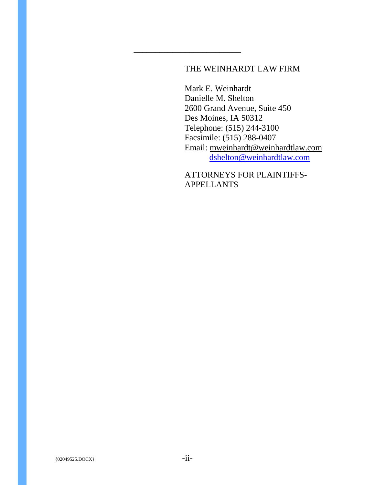# THE WEINHARDT LAW FIRM

\_\_\_\_\_\_\_\_\_\_\_\_\_\_\_\_\_\_\_\_\_\_\_\_\_

Mark E. Weinhardt Danielle M. Shelton 2600 Grand Avenue, Suite 450 Des Moines, IA 50312 Telephone: (515) 244-3100 Facsimile: (515) 288-0407 Email: [mweinhardt@weinhardtlaw.com](mailto:mweinhardt@weinhardtlogan.com) [dshelton@weinhardtlaw.com](mailto:wortman@weinhardtlogan.com)

ATTORNEYS FOR PLAINTIFFS-APPELLANTS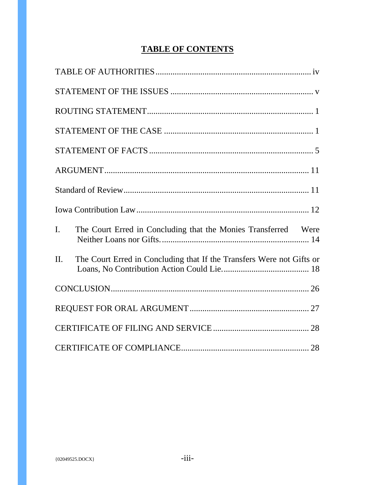# **TABLE OF CONTENTS**

| I.  | The Court Erred in Concluding that the Monies Transferred Were        |  |
|-----|-----------------------------------------------------------------------|--|
| II. | The Court Erred in Concluding that If the Transfers Were not Gifts or |  |
|     |                                                                       |  |
|     |                                                                       |  |
|     |                                                                       |  |
|     |                                                                       |  |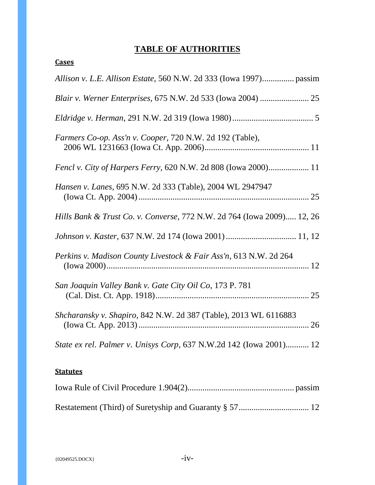# **TABLE OF AUTHORITIES**

<span id="page-3-0"></span>

| Farmers Co-op. Ass'n v. Cooper, 720 N.W. 2d 192 (Table),               |
|------------------------------------------------------------------------|
| Fencl v. City of Harpers Ferry, 620 N.W. 2d 808 (Iowa 2000) 11         |
| Hansen v. Lanes, 695 N.W. 2d 333 (Table), 2004 WL 2947947              |
| Hills Bank & Trust Co. v. Converse, 772 N.W. 2d 764 (Iowa 2009) 12, 26 |
| Johnson v. Kaster, 637 N.W. 2d 174 (Iowa 2001)  11, 12                 |
| Perkins v. Madison County Livestock & Fair Ass'n, 613 N.W. 2d 264      |
| San Joaquin Valley Bank v. Gate City Oil Co, 173 P. 781                |
| Shcharansky v. Shapiro, 842 N.W. 2d 387 (Table), 2013 WL 6116883       |
| State ex rel. Palmer v. Unisys Corp, 637 N.W.2d 142 (Iowa 2001) 12     |
| <b>Statutes</b>                                                        |
|                                                                        |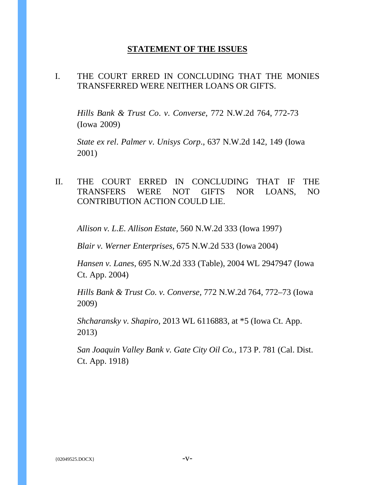# **STATEMENT OF THE ISSUES**

## <span id="page-4-0"></span>I. THE COURT ERRED IN CONCLUDING THAT THE MONIES TRANSFERRED WERE NEITHER LOANS OR GIFTS.

*Hills Bank & Trust Co*. *v*. *Converse*, 772 N.W.2d 764, 772-73 (Iowa 2009)

*State ex rel*. *Palmer v*. *Unisys Corp*., 637 N.W.2d 142, 149 (Iowa 2001)

# II. THE COURT ERRED IN CONCLUDING THAT IF THE TRANSFERS WERE NOT GIFTS NOR LOANS, NO CONTRIBUTION ACTION COULD LIE.

*Allison v. L.E. Allison Estate,* 560 N.W.2d 333 (Iowa 1997)

*Blair v. Werner Enterprises,* 675 N.W.2d 533 (Iowa 2004)

*Hansen v. Lanes*, 695 N.W.2d 333 (Table), 2004 WL 2947947 (Iowa Ct. App. 2004)

*[Hills Bank & Trust Co. v. Converse,](https://a.next.westlaw.com/Link/Document/FullText?findType=Y&serNum=2019817892&pubNum=595&originatingDoc=I1ba9a845531c11e3a341ea44e5e1f25f&refType=RP&fi=co_pp_sp_595_772&originationContext=document&transitionType=DocumentItem&contextData=(sc.Search)#co_pp_sp_595_772)* 772 N.W.2d 764, 772–73 (Iowa [2009\)](https://a.next.westlaw.com/Link/Document/FullText?findType=Y&serNum=2019817892&pubNum=595&originatingDoc=I1ba9a845531c11e3a341ea44e5e1f25f&refType=RP&fi=co_pp_sp_595_772&originationContext=document&transitionType=DocumentItem&contextData=(sc.Search)#co_pp_sp_595_772)

*Shcharansky v. Shapiro,* 2013 WL 6116883, at \*5 (Iowa Ct. App. 2013)

*San Joaquin Valley Bank v. Gate City Oil Co.*, 173 P. 781 (Cal. Dist. Ct. App. 1918)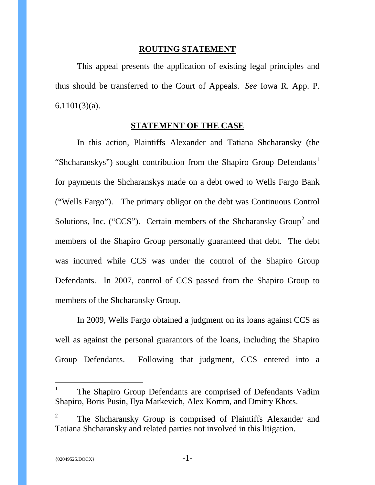#### **ROUTING STATEMENT**

<span id="page-5-0"></span>This appeal presents the application of existing legal principles and thus should be transferred to the Court of Appeals. *See* Iowa R. App. P. 6.1101(3)(a).

#### **STATEMENT OF THE CASE**

<span id="page-5-1"></span>In this action, Plaintiffs Alexander and Tatiana Shcharansky (the "Shcharanskys") sought contribution from the Shapiro Group Defendants<sup>[1](#page-5-2)</sup> for payments the Shcharanskys made on a debt owed to Wells Fargo Bank ("Wells Fargo"). The primary obligor on the debt was Continuous Control Solutions, Inc. ("CCS"). Certain members of the Shcharansky Group<sup>[2](#page-5-3)</sup> and members of the Shapiro Group personally guaranteed that debt. The debt was incurred while CCS was under the control of the Shapiro Group Defendants. In 2007, control of CCS passed from the Shapiro Group to members of the Shcharansky Group.

In 2009, Wells Fargo obtained a judgment on its loans against CCS as well as against the personal guarantors of the loans, including the Shapiro Group Defendants. Following that judgment, CCS entered into a

<span id="page-5-2"></span><sup>&</sup>lt;sup>1</sup> The Shapiro Group Defendants are comprised of Defendants Vadim Shapiro, Boris Pusin, Ilya Markevich, Alex Komm, and Dmitry Khots.

<span id="page-5-3"></span><sup>&</sup>lt;sup>2</sup> The Shcharansky Group is comprised of Plaintiffs Alexander and Tatiana Shcharansky and related parties not involved in this litigation.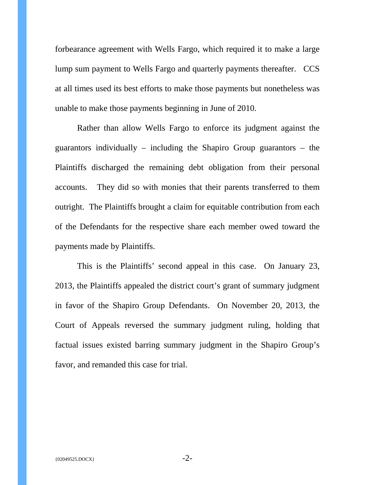forbearance agreement with Wells Fargo, which required it to make a large lump sum payment to Wells Fargo and quarterly payments thereafter. CCS at all times used its best efforts to make those payments but nonetheless was unable to make those payments beginning in June of 2010.

Rather than allow Wells Fargo to enforce its judgment against the guarantors individually – including the Shapiro Group guarantors – the Plaintiffs discharged the remaining debt obligation from their personal accounts. They did so with monies that their parents transferred to them outright. The Plaintiffs brought a claim for equitable contribution from each of the Defendants for the respective share each member owed toward the payments made by Plaintiffs.

This is the Plaintiffs' second appeal in this case. On January 23, 2013, the Plaintiffs appealed the district court's grant of summary judgment in favor of the Shapiro Group Defendants. On November 20, 2013, the Court of Appeals reversed the summary judgment ruling, holding that factual issues existed barring summary judgment in the Shapiro Group's favor, and remanded this case for trial.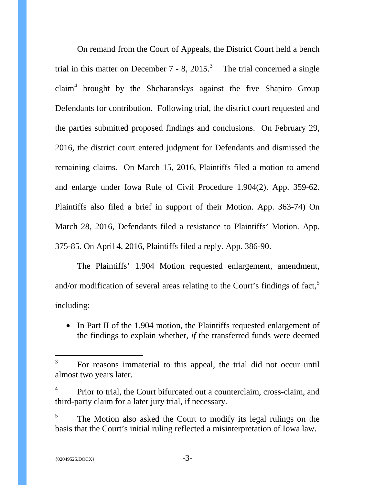On remand from the Court of Appeals, the District Court held a bench trial in this matter on December 7 - 8, 2015.<sup>[3](#page-7-0)</sup> The trial concerned a single  $claim<sup>4</sup> brought by the Shcharanskys against the five Shapiro Group$  $claim<sup>4</sup> brought by the Shcharanskys against the five Shapiro Group$  $claim<sup>4</sup> brought by the Shcharanskys against the five Shapiro Group$ Defendants for contribution. Following trial, the district court requested and the parties submitted proposed findings and conclusions. On February 29, 2016, the district court entered judgment for Defendants and dismissed the remaining claims. On March 15, 2016, Plaintiffs filed a motion to amend and enlarge under Iowa Rule of Civil Procedure 1.904(2). App. 359-62. Plaintiffs also filed a brief in support of their Motion. App. 363-74) On March 28, 2016, Defendants filed a resistance to Plaintiffs' Motion. App. 375-85. On April 4, 2016, Plaintiffs filed a reply. App. 386-90.

The Plaintiffs' 1.904 Motion requested enlargement, amendment, and/or modification of several areas relating to the Court's findings of fact,<sup>[5](#page-7-2)</sup> including:

• In Part II of the 1.904 motion, the Plaintiffs requested enlargement of the findings to explain whether, *if* the transferred funds were deemed

<span id="page-7-0"></span><sup>&</sup>lt;sup>3</sup> For reasons immaterial to this appeal, the trial did not occur until almost two years later.

<span id="page-7-1"></span><sup>&</sup>lt;sup>4</sup> Prior to trial, the Court bifurcated out a counterclaim, cross-claim, and third-party claim for a later jury trial, if necessary.

<span id="page-7-2"></span> $5$  The Motion also asked the Court to modify its legal rulings on the basis that the Court's initial ruling reflected a misinterpretation of Iowa law.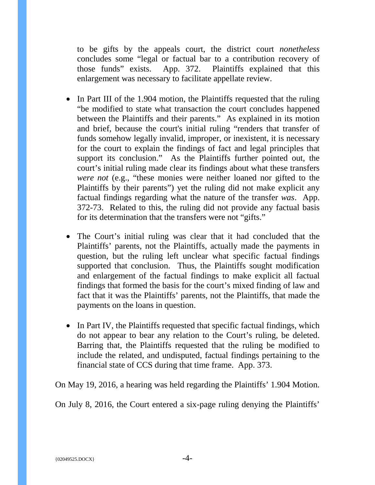to be gifts by the appeals court, the district court *nonetheless* concludes some "legal or factual bar to a contribution recovery of those funds" exists. App. 372. Plaintiffs explained that this enlargement was necessary to facilitate appellate review.

- In Part III of the 1.904 motion, the Plaintiffs requested that the ruling "be modified to state what transaction the court concludes happened between the Plaintiffs and their parents." As explained in its motion and brief, because the court's initial ruling "renders that transfer of funds somehow legally invalid, improper, or inexistent, it is necessary for the court to explain the findings of fact and legal principles that support its conclusion." As the Plaintiffs further pointed out, the court's initial ruling made clear its findings about what these transfers *were not* (e.g., "these monies were neither loaned nor gifted to the Plaintiffs by their parents") yet the ruling did not make explicit any factual findings regarding what the nature of the transfer *was*. App. 372-73. Related to this, the ruling did not provide any factual basis for its determination that the transfers were not "gifts."
- The Court's initial ruling was clear that it had concluded that the Plaintiffs' parents, not the Plaintiffs, actually made the payments in question, but the ruling left unclear what specific factual findings supported that conclusion. Thus, the Plaintiffs sought modification and enlargement of the factual findings to make explicit all factual findings that formed the basis for the court's mixed finding of law and fact that it was the Plaintiffs' parents, not the Plaintiffs, that made the payments on the loans in question.
- In Part IV, the Plaintiffs requested that specific factual findings, which do not appear to bear any relation to the Court's ruling, be deleted. Barring that, the Plaintiffs requested that the ruling be modified to include the related, and undisputed, factual findings pertaining to the financial state of CCS during that time frame. App. 373.

On May 19, 2016, a hearing was held regarding the Plaintiffs' 1.904 Motion.

On July 8, 2016, the Court entered a six-page ruling denying the Plaintiffs'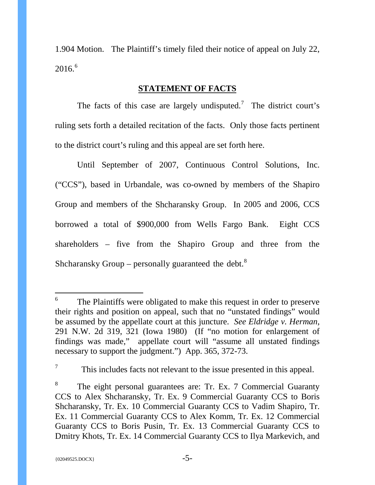1.904 Motion. The Plaintiff's timely filed their notice of appeal on July 22, 2016. [6](#page-9-1)

### **STATEMENT OF FACTS**

<span id="page-9-0"></span>The facts of this case are largely undisputed.<sup>[7](#page-9-2)</sup> The district court's ruling sets forth a detailed recitation of the facts. Only those facts pertinent to the district court's ruling and this appeal are set forth here.

Until September of 2007, Continuous Control Solutions, Inc. ("CCS"), based in Urbandale, was co-owned by members of the Shapiro Group and members of the Shcharansky Group. In 2005 and 2006, CCS borrowed a total of \$900,000 from Wells Fargo Bank. Eight CCS shareholders – five from the Shapiro Group and three from the Shcharansky Group – personally guaranteed the debt.<sup>[8](#page-9-3)</sup>

<span id="page-9-1"></span> <sup>6</sup> The Plaintiffs were obligated to make this request in order to preserve their rights and position on appeal, such that no "unstated findings" would be assumed by the appellate court at this juncture. *See Eldridge v. Herman*, 291 N.W. 2d 319, 321 (Iowa 1980) (If "no motion for enlargement of findings was made," appellate court will "assume all unstated findings necessary to support the judgment.") App. 365, 372-73.

<span id="page-9-2"></span> $7\,$  This includes facts not relevant to the issue presented in this appeal.

<span id="page-9-3"></span>The eight personal guarantees are: Tr. Ex. 7 Commercial Guaranty CCS to Alex Shcharansky, Tr. Ex. 9 Commercial Guaranty CCS to Boris Shcharansky, Tr. Ex. 10 Commercial Guaranty CCS to Vadim Shapiro, Tr. Ex. 11 Commercial Guaranty CCS to Alex Komm, Tr. Ex. 12 Commercial Guaranty CCS to Boris Pusin, Tr. Ex. 13 Commercial Guaranty CCS to Dmitry Khots, Tr. Ex. 14 Commercial Guaranty CCS to Ilya Markevich, and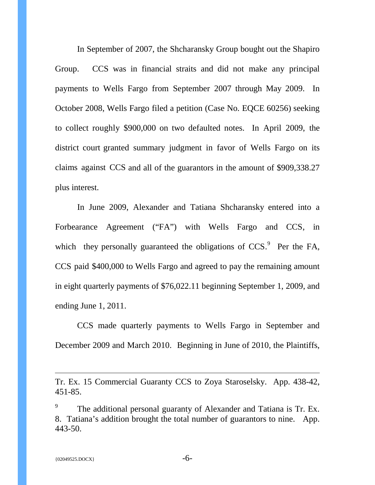In September of 2007, the Shcharansky Group bought out the Shapiro Group. CCS was in financial straits and did not make any principal payments to Wells Fargo from September 2007 through May 2009. In October 2008, Wells Fargo filed a petition (Case No. EQCE 60256) seeking to collect roughly \$900,000 on two defaulted notes. In April 2009, the district court granted summary judgment in favor of Wells Fargo on its claims against CCS and all of the guarantors in the amount of \$909,338.27 plus interest.

In June 2009, Alexander and Tatiana Shcharansky entered into a Forbearance Agreement ("FA") with Wells Fargo and CCS, in which they personally guaranteed the obligations of  $CCS$ . Per the FA, CCS paid \$400,000 to Wells Fargo and agreed to pay the remaining amount in eight quarterly payments of \$76,022.11 beginning September 1, 2009, and ending June 1, 2011.

CCS made quarterly payments to Wells Fargo in September and December 2009 and March 2010. Beginning in June of 2010, the Plaintiffs,

 $\overline{a}$ 

Tr. Ex. 15 Commercial Guaranty CCS to Zoya Staroselsky. App. 438-42, 451-85.

<span id="page-10-0"></span><sup>&</sup>lt;sup>9</sup> The additional personal guaranty of Alexander and Tatiana is Tr. Ex. 8. Tatiana's addition brought the total number of guarantors to nine. App. 443-50.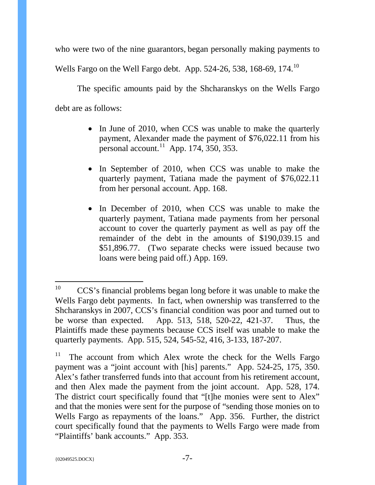who were two of the nine guarantors, began personally making payments to Wells Fargo on the Well Fargo debt. App. 524-26, 538, 168-69, 174.<sup>[10](#page-11-0)</sup>

The specific amounts paid by the Shcharanskys on the Wells Fargo debt are as follows:

- In June of 2010, when CCS was unable to make the quarterly payment, Alexander made the payment of \$76,022.11 from his personal account.<sup>11</sup> App. 174,  $\overline{350}$ , 353.
- In September of 2010, when CCS was unable to make the quarterly payment, Tatiana made the payment of \$76,022.11 from her personal account. App. 168.
- In December of 2010, when CCS was unable to make the quarterly payment, Tatiana made payments from her personal account to cover the quarterly payment as well as pay off the remainder of the debt in the amounts of \$190,039.15 and \$51,896.77. (Two separate checks were issued because two loans were being paid off.) App. 169.

<span id="page-11-0"></span> $10$  CCS's financial problems began long before it was unable to make the Wells Fargo debt payments. In fact, when ownership was transferred to the Shcharanskys in 2007, CCS's financial condition was poor and turned out to be worse than expected. App. 513, 518, 520-22, 421-37. Thus, the Plaintiffs made these payments because CCS itself was unable to make the quarterly payments. App. 515, 524, 545-52, 416, 3-133, 187-207.

<span id="page-11-1"></span> $11$  The account from which Alex wrote the check for the Wells Fargo payment was a "joint account with [his] parents." App. 524-25, 175, 350. Alex's father transferred funds into that account from his retirement account, and then Alex made the payment from the joint account. App. 528, 174. The district court specifically found that "[t]he monies were sent to Alex" and that the monies were sent for the purpose of "sending those monies on to Wells Fargo as repayments of the loans." App. 356. Further, the district court specifically found that the payments to Wells Fargo were made from "Plaintiffs' bank accounts." App. 353.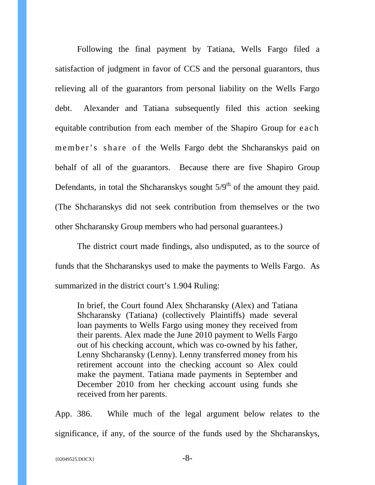Following the final payment by Tatiana, Wells Fargo filed a satisfaction of judgment in favor of CCS and the personal guarantors, thus relieving all of the guarantors from personal liability on the Wells Fargo debt. Alexander and Tatiana subsequently filed this action seeking equitable contribution from each member of the Shapiro Group for each member's share of the Wells Fargo debt the Shcharanskys paid on behalf of all of the guarantors. Because there are five Shapiro Group Defendants, in total the Shcharanskys sought  $5/9<sup>th</sup>$  of the amount they paid. (The Shcharanskys did not seek contribution from themselves or the two other Shcharansky Group members who had personal guarantees.)

The district court made findings, also undisputed, as to the source of funds that the Shcharanskys used to make the payments to Wells Fargo. As summarized in the district court's 1.904 Ruling:

In brief, the Court found Alex Shcharansky (Alex) and Tatiana Shcharansky (Tatiana) (collectively Plaintiffs) made several loan payments to Wells Fargo using money they received from their parents. Alex made the June 2010 payment to Wells Fargo out of his checking account, which was co-owned by his father, Lenny Shcharansky (Lenny). Lenny transferred money from his retirement account into the checking account so Alex could make the payment. Tatiana made payments in September and December 2010 from her checking account using funds she received from her parents.

App. 386. While much of the legal argument below relates to the significance, if any, of the source of the funds used by the Shcharanskys,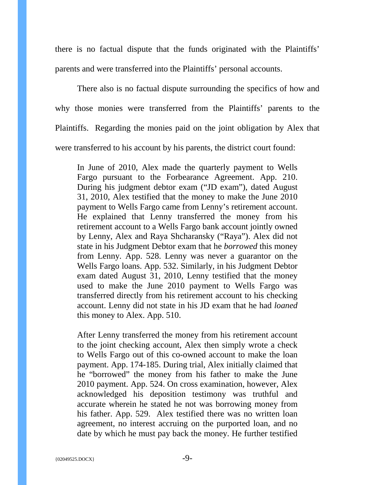there is no factual dispute that the funds originated with the Plaintiffs' parents and were transferred into the Plaintiffs' personal accounts.

There also is no factual dispute surrounding the specifics of how and why those monies were transferred from the Plaintiffs' parents to the Plaintiffs. Regarding the monies paid on the joint obligation by Alex that were transferred to his account by his parents, the district court found:

In June of 2010, Alex made the quarterly payment to Wells Fargo pursuant to the Forbearance Agreement. App. 210. During his judgment debtor exam ("JD exam"), dated August 31, 2010, Alex testified that the money to make the June 2010 payment to Wells Fargo came from Lenny's retirement account. He explained that Lenny transferred the money from his retirement account to a Wells Fargo bank account jointly owned by Lenny, Alex and Raya Shcharansky ("Raya"). Alex did not state in his Judgment Debtor exam that he *borrowed* this money from Lenny. App. 528. Lenny was never a guarantor on the Wells Fargo loans. App. 532. Similarly, in his Judgment Debtor exam dated August 31, 2010, Lenny testified that the money used to make the June 2010 payment to Wells Fargo was transferred directly from his retirement account to his checking account. Lenny did not state in his JD exam that he had *loaned*  this money to Alex. App. 510.

After Lenny transferred the money from his retirement account to the joint checking account, Alex then simply wrote a check to Wells Fargo out of this co-owned account to make the loan payment. App. 174-185. During trial, Alex initially claimed that he "borrowed" the money from his father to make the June 2010 payment. App. 524. On cross examination, however, Alex acknowledged his deposition testimony was truthful and accurate wherein he stated he not was borrowing money from his father. App. 529. Alex testified there was no written loan agreement, no interest accruing on the purported loan, and no date by which he must pay back the money. He further testified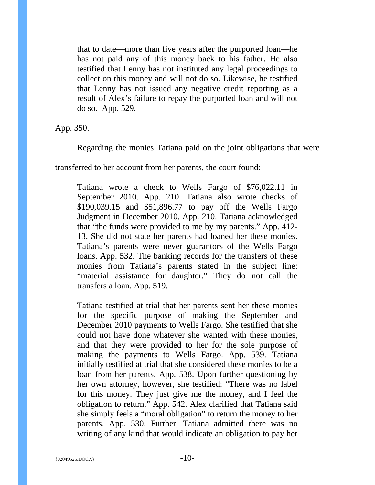that to date—more than five years after the purported loan—he has not paid any of this money back to his father. He also testified that Lenny has not instituted any legal proceedings to collect on this money and will not do so. Likewise, he testified that Lenny has not issued any negative credit reporting as a result of Alex's failure to repay the purported loan and will not do so. App. 529.

App. 350.

Regarding the monies Tatiana paid on the joint obligations that were

transferred to her account from her parents, the court found:

Tatiana wrote a check to Wells Fargo of \$76,022.11 in September 2010. App. 210. Tatiana also wrote checks of \$190,039.15 and \$51,896.77 to pay off the Wells Fargo Judgment in December 2010. App. 210. Tatiana acknowledged that "the funds were provided to me by my parents." App. 412- 13. She did not state her parents had loaned her these monies. Tatiana's parents were never guarantors of the Wells Fargo loans. App. 532. The banking records for the transfers of these monies from Tatiana's parents stated in the subject line: "material assistance for daughter." They do not call the transfers a loan. App. 519.

Tatiana testified at trial that her parents sent her these monies for the specific purpose of making the September and December 2010 payments to Wells Fargo. She testified that she could not have done whatever she wanted with these monies, and that they were provided to her for the sole purpose of making the payments to Wells Fargo. App. 539. Tatiana initially testified at trial that she considered these monies to be a loan from her parents. App. 538. Upon further questioning by her own attorney, however, she testified: "There was no label for this money. They just give me the money, and I feel the obligation to return." App. 542. Alex clarified that Tatiana said she simply feels a "moral obligation" to return the money to her parents. App. 530. Further, Tatiana admitted there was no writing of any kind that would indicate an obligation to pay her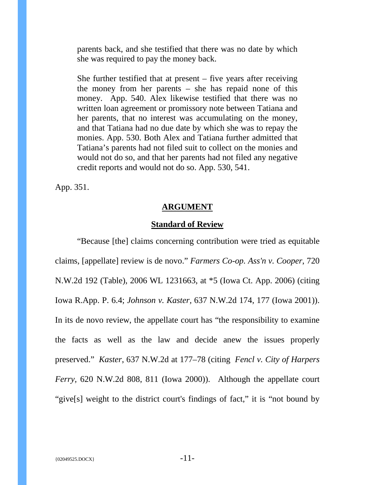parents back, and she testified that there was no date by which she was required to pay the money back.

She further testified that at present  $-$  five years after receiving the money from her parents – she has repaid none of this money. App. 540. Alex likewise testified that there was no written loan agreement or promissory note between Tatiana and her parents, that no interest was accumulating on the money, and that Tatiana had no due date by which she was to repay the monies. App. 530. Both Alex and Tatiana further admitted that Tatiana's parents had not filed suit to collect on the monies and would not do so, and that her parents had not filed any negative credit reports and would not do so. App. 530, 541.

<span id="page-15-0"></span>App. 351.

#### **ARGUMENT**

## **Standard of Review**

<span id="page-15-1"></span>"Because [the] claims concerning contribution were tried as equitable claims, [appellate] review is de novo." *Farmers Co-op. Ass'n v. Cooper*, 720 N.W.2d 192 (Table), 2006 WL 1231663, at \*5 (Iowa Ct. App. 2006) (citing Iowa R.App. P. 6.4; *Johnson v. Kaster,* 637 N.W.2d 174, 177 (Iowa 2001)). In its de novo review, the appellate court has "the responsibility to examine the facts as well as the law and decide anew the issues properly preserved." *Kaster*, 637 N.W.2d at 177–78 (citing *Fencl v. City of Harpers Ferry,* 620 N.W.2d 808, 811 (Iowa 2000)). Although the appellate court "give[s] weight to the district court's findings of fact," it is "not bound by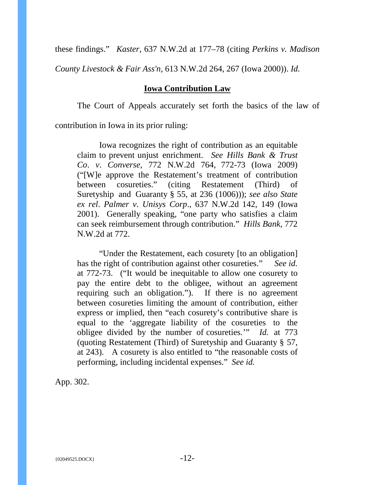these findings." *Kaster*, 637 N.W.2d at 177–78 (citing *Perkins v. Madison* 

<span id="page-16-0"></span>*County Livestock & Fair Ass'n,* 613 N.W.2d 264, 267 (Iowa 2000)). *Id.*

## **Iowa Contribution Law**

The Court of Appeals accurately set forth the basics of the law of

contribution in Iowa in its prior ruling:

Iowa recognizes the right of contribution as an equitable claim to prevent unjust enrichment. *See Hills Bank & Trust Co*. *v*. *Converse*, 772 N.W.2d 764, 772-73 (Iowa 2009) ("[W]e approve the Restatement's treatment of contribution between cosureties." (citing Restatement (Third) of Suretyship and Guaranty § 55, at 236 (1006))); *see also State ex rel*. *Palmer v*. *Unisys Corp*., 637 N.W.2d 142, 149 (Iowa 2001). Generally speaking, "one party who satisfies a claim can seek reimbursement through contribution." *Hills Bank*, 772 N.W.2d at 772.

"Under the Restatement, each cosurety [to an obligation] has the right of contribution against other cosureties." *See id.*  at 772-73. ("It would be inequitable to allow one cosurety to pay the entire debt to the obligee, without an agreement requiring such an obligation."). If there is no agreement between cosureties limiting the amount of contribution, either express or implied, then "each cosurety's contributive share is equal to the 'aggregate liability of the cosureties to the obligee divided by the number of cosureties.'" *Id.* at 773 (quoting Restatement (Third) of Suretyship and Guaranty § 57, at 243). A cosurety is also entitled to "the reasonable costs of performing, including incidental expenses." *See id.*

App. 302.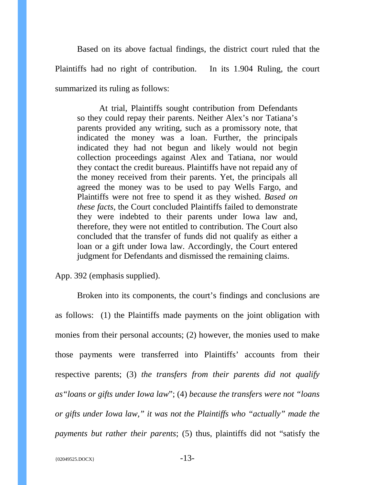Based on its above factual findings, the district court ruled that the Plaintiffs had no right of contribution. In its 1.904 Ruling, the court summarized its ruling as follows:

At trial, Plaintiffs sought contribution from Defendants so they could repay their parents. Neither Alex's nor Tatiana's parents provided any writing, such as a promissory note, that indicated the money was a loan. Further, the principals indicated they had not begun and likely would not begin collection proceedings against Alex and Tatiana, nor would they contact the credit bureaus. Plaintiffs have not repaid any of the money received from their parents. Yet, the principals all agreed the money was to be used to pay Wells Fargo, and Plaintiffs were not free to spend it as they wished. *Based on these facts*, the Court concluded Plaintiffs failed to demonstrate they were indebted to their parents under Iowa law and, therefore, they were not entitled to contribution. The Court also concluded that the transfer of funds did not qualify as either a loan or a gift under Iowa law. Accordingly, the Court entered judgment for Defendants and dismissed the remaining claims.

App. 392 (emphasis supplied).

Broken into its components, the court's findings and conclusions are as follows: (1) the Plaintiffs made payments on the joint obligation with monies from their personal accounts; (2) however, the monies used to make those payments were transferred into Plaintiffs' accounts from their respective parents; (3) *the transfers from their parents did not qualify as"loans or gifts under Iowa law*"; (4) *because the transfers were not "loans or gifts under Iowa law," it was not the Plaintiffs who "actually" made the payments but rather their parents*; (5) thus, plaintiffs did not "satisfy the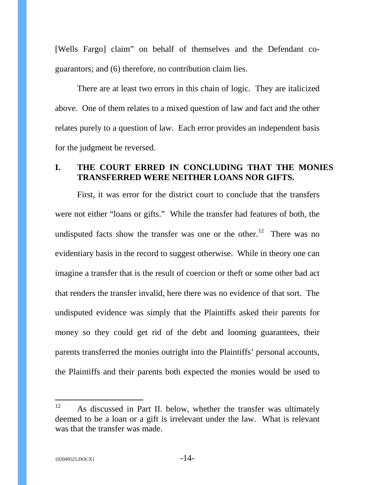[Wells Fargo] claim" on behalf of themselves and the Defendant coguarantors; and (6) therefore, no contribution claim lies.

There are at least two errors in this chain of logic. They are italicized above. One of them relates to a mixed question of law and fact and the other relates purely to a question of law. Each error provides an independent basis for the judgment be reversed.

# <span id="page-18-0"></span>**I. THE COURT ERRED IN CONCLUDING THAT THE MONIES TRANSFERRED WERE NEITHER LOANS NOR GIFTS.**

First, it was error for the district court to conclude that the transfers were not either "loans or gifts." While the transfer had features of both, the undisputed facts show the transfer was one or the other.<sup>[12](#page-18-1)</sup> There was no evidentiary basis in the record to suggest otherwise. While in theory one can imagine a transfer that is the result of coercion or theft or some other bad act that renders the transfer invalid, here there was no evidence of that sort. The undisputed evidence was simply that the Plaintiffs asked their parents for money so they could get rid of the debt and looming guarantees, their parents transferred the monies outright into the Plaintiffs' personal accounts, the Plaintiffs and their parents both expected the monies would be used to

<span id="page-18-1"></span><sup>&</sup>lt;sup>12</sup> As discussed in Part II. below, whether the transfer was ultimately deemed to be a loan or a gift is irrelevant under the law. What is relevant was that the transfer was made.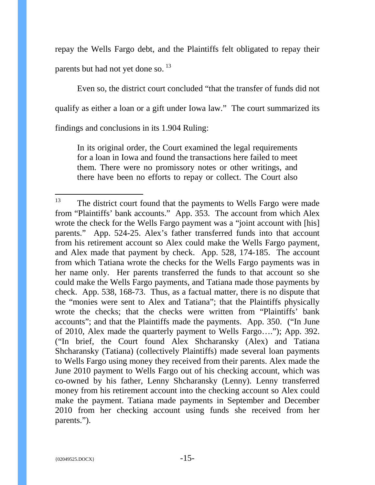repay the Wells Fargo debt, and the Plaintiffs felt obligated to repay their parents but had not yet done so. <sup>13</sup>

Even so, the district court concluded "that the transfer of funds did not qualify as either a loan or a gift under Iowa law." The court summarized its findings and conclusions in its 1.904 Ruling:

In its original order, the Court examined the legal requirements for a loan in Iowa and found the transactions here failed to meet them. There were no promissory notes or other writings, and there have been no efforts to repay or collect. The Court also

<span id="page-19-0"></span><sup>&</sup>lt;sup>13</sup> The district court found that the payments to Wells Fargo were made from "Plaintiffs' bank accounts." App. 353. The account from which Alex wrote the check for the Wells Fargo payment was a "joint account with [his] parents." App. 524-25. Alex's father transferred funds into that account from his retirement account so Alex could make the Wells Fargo payment, and Alex made that payment by check. App. 528, 174-185. The account from which Tatiana wrote the checks for the Wells Fargo payments was in her name only. Her parents transferred the funds to that account so she could make the Wells Fargo payments, and Tatiana made those payments by check. App. 538, 168-73. Thus, as a factual matter, there is no dispute that the "monies were sent to Alex and Tatiana"; that the Plaintiffs physically wrote the checks; that the checks were written from "Plaintiffs' bank accounts"; and that the Plaintiffs made the payments. App. 350. ("In June of 2010, Alex made the quarterly payment to Wells Fargo…."); App. 392. ("In brief, the Court found Alex Shcharansky (Alex) and Tatiana Shcharansky (Tatiana) (collectively Plaintiffs) made several loan payments to Wells Fargo using money they received from their parents. Alex made the June 2010 payment to Wells Fargo out of his checking account, which was co-owned by his father, Lenny Shcharansky (Lenny). Lenny transferred money from his retirement account into the checking account so Alex could make the payment. Tatiana made payments in September and December 2010 from her checking account using funds she received from her parents.").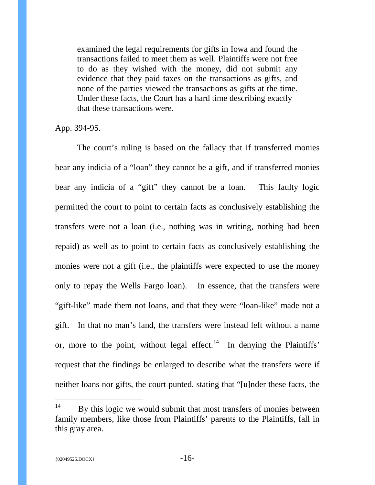examined the legal requirements for gifts in Iowa and found the transactions failed to meet them as well. Plaintiffs were not free to do as they wished with the money, did not submit any evidence that they paid taxes on the transactions as gifts, and none of the parties viewed the transactions as gifts at the time. Under these facts, the Court has a hard time describing exactly that these transactions were.

App. 394-95.

The court's ruling is based on the fallacy that if transferred monies bear any indicia of a "loan" they cannot be a gift, and if transferred monies bear any indicia of a "gift" they cannot be a loan. This faulty logic permitted the court to point to certain facts as conclusively establishing the transfers were not a loan (i.e., nothing was in writing, nothing had been repaid) as well as to point to certain facts as conclusively establishing the monies were not a gift (i.e., the plaintiffs were expected to use the money only to repay the Wells Fargo loan). In essence, that the transfers were "gift-like" made them not loans, and that they were "loan-like" made not a gift. In that no man's land, the transfers were instead left without a name or, more to the point, without legal effect.<sup>14</sup> In denying the Plaintiffs' request that the findings be enlarged to describe what the transfers were if neither loans nor gifts, the court punted, stating that "[u]nder these facts, the

<span id="page-20-0"></span> $14$  By this logic we would submit that most transfers of monies between family members, like those from Plaintiffs' parents to the Plaintiffs, fall in this gray area.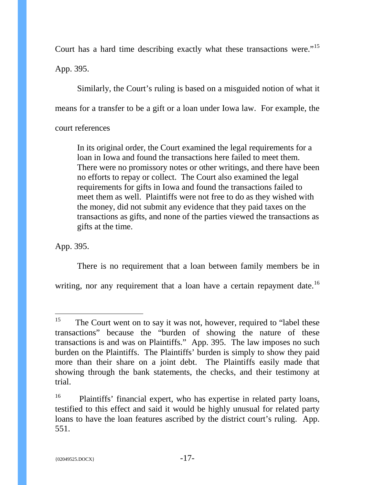Court has a hard time describing exactly what these transactions were."[15](#page-21-0)

App. 395.

Similarly, the Court's ruling is based on a misguided notion of what it means for a transfer to be a gift or a loan under Iowa law. For example, the court references

In its original order, the Court examined the legal requirements for a loan in Iowa and found the transactions here failed to meet them. There were no promissory notes or other writings, and there have been no efforts to repay or collect. The Court also examined the legal requirements for gifts in Iowa and found the transactions failed to meet them as well. Plaintiffs were not free to do as they wished with the money, did not submit any evidence that they paid taxes on the transactions as gifts, and none of the parties viewed the transactions as gifts at the time.

App. 395.

There is no requirement that a loan between family members be in writing, nor any requirement that a loan have a certain repayment date.<sup>[16](#page-21-1)</sup>

<span id="page-21-0"></span><sup>&</sup>lt;sup>15</sup> The Court went on to say it was not, however, required to "label these" transactions" because the "burden of showing the nature of these transactions is and was on Plaintiffs." App. 395. The law imposes no such burden on the Plaintiffs. The Plaintiffs' burden is simply to show they paid more than their share on a joint debt. The Plaintiffs easily made that showing through the bank statements, the checks, and their testimony at trial.

<span id="page-21-1"></span><sup>&</sup>lt;sup>16</sup> Plaintiffs' financial expert, who has expertise in related party loans, testified to this effect and said it would be highly unusual for related party loans to have the loan features ascribed by the district court's ruling. App. 551.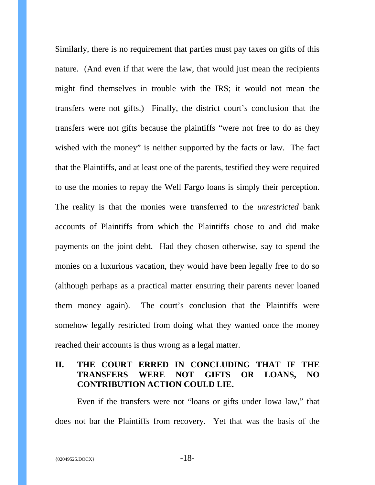Similarly, there is no requirement that parties must pay taxes on gifts of this nature. (And even if that were the law, that would just mean the recipients might find themselves in trouble with the IRS; it would not mean the transfers were not gifts.) Finally, the district court's conclusion that the transfers were not gifts because the plaintiffs "were not free to do as they wished with the money" is neither supported by the facts or law. The fact that the Plaintiffs, and at least one of the parents, testified they were required to use the monies to repay the Well Fargo loans is simply their perception. The reality is that the monies were transferred to the *unrestricted* bank accounts of Plaintiffs from which the Plaintiffs chose to and did make payments on the joint debt. Had they chosen otherwise, say to spend the monies on a luxurious vacation, they would have been legally free to do so (although perhaps as a practical matter ensuring their parents never loaned them money again). The court's conclusion that the Plaintiffs were somehow legally restricted from doing what they wanted once the money reached their accounts is thus wrong as a legal matter.

# <span id="page-22-0"></span>**II. THE COURT ERRED IN CONCLUDING THAT IF THE TRANSFERS WERE NOT GIFTS OR LOANS, NO CONTRIBUTION ACTION COULD LIE.**

Even if the transfers were not "loans or gifts under Iowa law," that does not bar the Plaintiffs from recovery. Yet that was the basis of the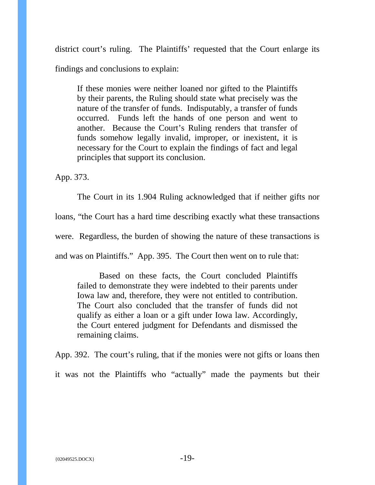district court's ruling. The Plaintiffs' requested that the Court enlarge its findings and conclusions to explain:

If these monies were neither loaned nor gifted to the Plaintiffs by their parents, the Ruling should state what precisely was the nature of the transfer of funds. Indisputably, a transfer of funds occurred. Funds left the hands of one person and went to another. Because the Court's Ruling renders that transfer of funds somehow legally invalid, improper, or inexistent, it is necessary for the Court to explain the findings of fact and legal principles that support its conclusion.

App. 373.

The Court in its 1.904 Ruling acknowledged that if neither gifts nor loans, "the Court has a hard time describing exactly what these transactions were. Regardless, the burden of showing the nature of these transactions is and was on Plaintiffs." App. 395. The Court then went on to rule that:

Based on these facts, the Court concluded Plaintiffs failed to demonstrate they were indebted to their parents under Iowa law and, therefore, they were not entitled to contribution. The Court also concluded that the transfer of funds did not qualify as either a loan or a gift under Iowa law. Accordingly, the Court entered judgment for Defendants and dismissed the remaining claims.

App. 392. The court's ruling, that if the monies were not gifts or loans then it was not the Plaintiffs who "actually" made the payments but their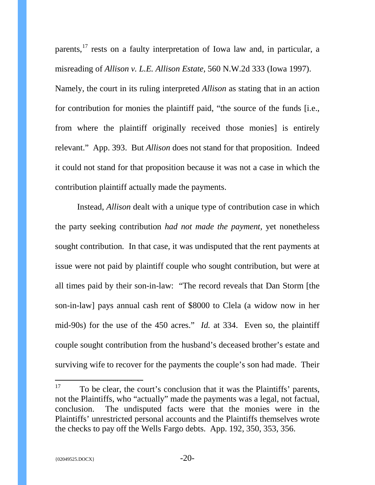parents,<sup>[17](#page-24-0)</sup> rests on a faulty interpretation of Iowa law and, in particular, a misreading of *Allison v. L.E. Allison Estate,* 560 N.W.2d 333 (Iowa 1997). Namely, the court in its ruling interpreted *Allison* as stating that in an action for contribution for monies the plaintiff paid, "the source of the funds [i.e., from where the plaintiff originally received those monies] is entirely relevant." App. 393. But *Allison* does not stand for that proposition. Indeed it could not stand for that proposition because it was not a case in which the contribution plaintiff actually made the payments.

Instead, *Allison* dealt with a unique type of contribution case in which the party seeking contribution *had not made the payment,* yet nonetheless sought contribution*.* In that case, it was undisputed that the rent payments at issue were not paid by plaintiff couple who sought contribution, but were at all times paid by their son-in-law: "The record reveals that Dan Storm [the son-in-law] pays annual cash rent of \$8000 to Clela (a widow now in her mid-90s) for the use of the 450 acres." *Id.* at 334. Even so, the plaintiff couple sought contribution from the husband's deceased brother's estate and surviving wife to recover for the payments the couple's son had made. Their

<span id="page-24-0"></span> $17$  To be clear, the court's conclusion that it was the Plaintiffs' parents, not the Plaintiffs, who "actually" made the payments was a legal, not factual, conclusion. The undisputed facts were that the monies were in the Plaintiffs' unrestricted personal accounts and the Plaintiffs themselves wrote the checks to pay off the Wells Fargo debts. App. 192, 350, 353, 356.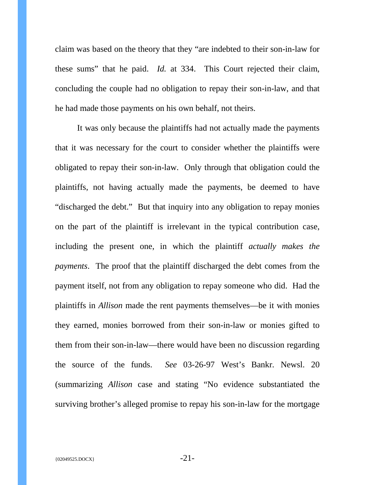claim was based on the theory that they "are indebted to their son-in-law for these sums" that he paid. *Id.* at 334. This Court rejected their claim, concluding the couple had no obligation to repay their son-in-law, and that he had made those payments on his own behalf, not theirs.

It was only because the plaintiffs had not actually made the payments that it was necessary for the court to consider whether the plaintiffs were obligated to repay their son-in-law. Only through that obligation could the plaintiffs, not having actually made the payments, be deemed to have "discharged the debt." But that inquiry into any obligation to repay monies on the part of the plaintiff is irrelevant in the typical contribution case, including the present one, in which the plaintiff *actually makes the payments*. The proof that the plaintiff discharged the debt comes from the payment itself, not from any obligation to repay someone who did. Had the plaintiffs in *Allison* made the rent payments themselves—be it with monies they earned, monies borrowed from their son-in-law or monies gifted to them from their son-in-law—there would have been no discussion regarding the source of the funds. *See* 03-26-97 West's Bankr. Newsl. 20 (summarizing *Allison* case and stating "No evidence substantiated the surviving brother's alleged promise to repay his son-in-law for the mortgage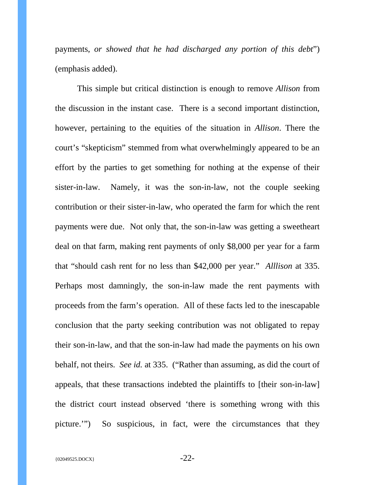payments, *or showed that he had discharged any portion of this debt*") (emphasis added).

This simple but critical distinction is enough to remove *Allison* from the discussion in the instant case. There is a second important distinction, however, pertaining to the equities of the situation in *Allison*. There the court's "skepticism" stemmed from what overwhelmingly appeared to be an effort by the parties to get something for nothing at the expense of their sister-in-law. Namely, it was the son-in-law, not the couple seeking contribution or their sister-in-law, who operated the farm for which the rent payments were due. Not only that, the son-in-law was getting a sweetheart deal on that farm, making rent payments of only \$8,000 per year for a farm that "should cash rent for no less than \$42,000 per year." *Alllison* at 335. Perhaps most damningly, the son-in-law made the rent payments with proceeds from the farm's operation. All of these facts led to the inescapable conclusion that the party seeking contribution was not obligated to repay their son-in-law, and that the son-in-law had made the payments on his own behalf, not theirs. *See id.* at 335. ("Rather than assuming, as did the court of appeals, that these transactions indebted the plaintiffs to [their son-in-law] the district court instead observed 'there is something wrong with this picture.'") So suspicious, in fact, were the circumstances that they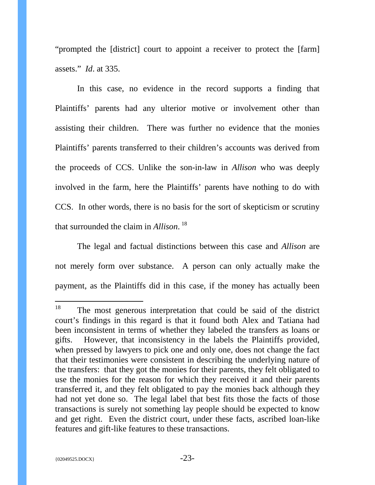"prompted the [district] court to appoint a receiver to protect the [farm] assets." *Id*. at 335.

In this case, no evidence in the record supports a finding that Plaintiffs' parents had any ulterior motive or involvement other than assisting their children. There was further no evidence that the monies Plaintiffs' parents transferred to their children's accounts was derived from the proceeds of CCS. Unlike the son-in-law in *Allison* who was deeply involved in the farm, here the Plaintiffs' parents have nothing to do with CCS. In other words, there is no basis for the sort of skepticism or scrutiny that surrounded the claim in *Allison*. [18](#page-27-0) 

The legal and factual distinctions between this case and *Allison* are not merely form over substance. A person can only actually make the payment, as the Plaintiffs did in this case, if the money has actually been

<span id="page-27-0"></span><sup>&</sup>lt;sup>18</sup> The most generous interpretation that could be said of the district court's findings in this regard is that it found both Alex and Tatiana had been inconsistent in terms of whether they labeled the transfers as loans or gifts. However, that inconsistency in the labels the Plaintiffs provided, when pressed by lawyers to pick one and only one, does not change the fact that their testimonies were consistent in describing the underlying nature of the transfers: that they got the monies for their parents, they felt obligated to use the monies for the reason for which they received it and their parents transferred it, and they felt obligated to pay the monies back although they had not yet done so. The legal label that best fits those the facts of those transactions is surely not something lay people should be expected to know and get right. Even the district court, under these facts, ascribed loan-like features and gift-like features to these transactions.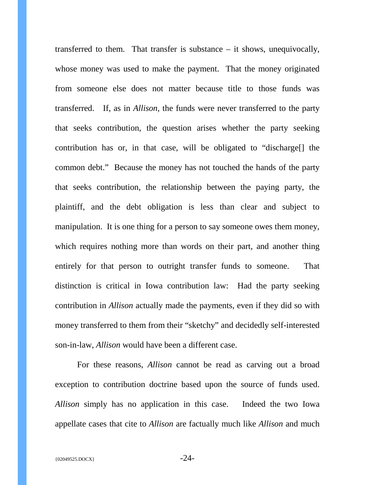transferred to them. That transfer is substance – it shows, unequivocally, whose money was used to make the payment. That the money originated from someone else does not matter because title to those funds was transferred. If, as in *Allison*, the funds were never transferred to the party that seeks contribution, the question arises whether the party seeking contribution has or, in that case, will be obligated to "discharge[] the common debt." Because the money has not touched the hands of the party that seeks contribution, the relationship between the paying party, the plaintiff, and the debt obligation is less than clear and subject to manipulation. It is one thing for a person to say someone owes them money, which requires nothing more than words on their part, and another thing entirely for that person to outright transfer funds to someone. That distinction is critical in Iowa contribution law: Had the party seeking contribution in *Allison* actually made the payments, even if they did so with money transferred to them from their "sketchy" and decidedly self-interested son-in-law, *Allison* would have been a different case.

For these reasons, *Allison* cannot be read as carving out a broad exception to contribution doctrine based upon the source of funds used. *Allison* simply has no application in this case. Indeed the two Iowa appellate cases that cite to *Allison* are factually much like *Allison* and much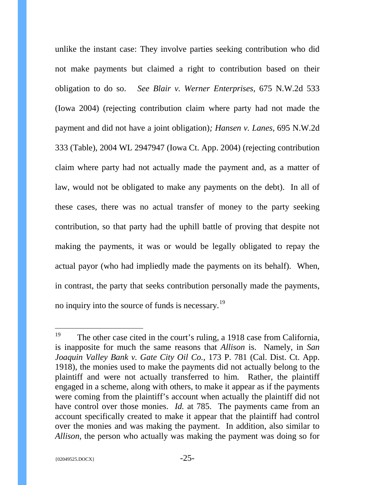unlike the instant case: They involve parties seeking contribution who did not make payments but claimed a right to contribution based on their obligation to do so. *See Blair v. Werner Enterprises,* 675 N.W.2d 533 (Iowa 2004) (rejecting contribution claim where party had not made the payment and did not have a joint obligation)*; Hansen v. Lanes*, 695 N.W.2d 333 (Table), 2004 WL 2947947 (Iowa Ct. App. 2004) (rejecting contribution claim where party had not actually made the payment and, as a matter of law, would not be obligated to make any payments on the debt). In all of these cases, there was no actual transfer of money to the party seeking contribution, so that party had the uphill battle of proving that despite not making the payments, it was or would be legally obligated to repay the actual payor (who had impliedly made the payments on its behalf). When, in contrast, the party that seeks contribution personally made the payments, no inquiry into the source of funds is necessary.<sup>19</sup>

<span id="page-29-0"></span><sup>&</sup>lt;sup>19</sup> The other case cited in the court's ruling, a 1918 case from California, is inapposite for much the same reasons that *Allison* is. Namely, in *San Joaquin Valley Bank v. Gate City Oil Co.*, 173 P. 781 (Cal. Dist. Ct. App. 1918), the monies used to make the payments did not actually belong to the plaintiff and were not actually transferred to him. Rather, the plaintiff engaged in a scheme, along with others, to make it appear as if the payments were coming from the plaintiff's account when actually the plaintiff did not have control over those monies. *Id.* at 785. The payments came from an account specifically created to make it appear that the plaintiff had control over the monies and was making the payment. In addition, also similar to *Allison*, the person who actually was making the payment was doing so for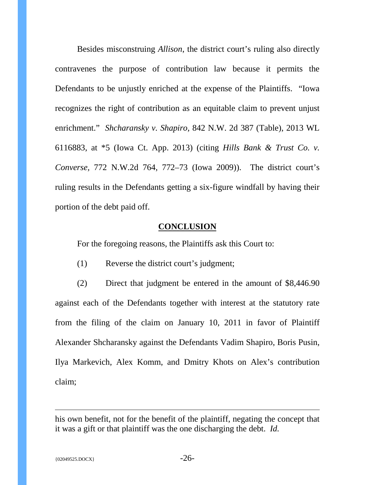Besides misconstruing *Allison*, the district court's ruling also directly contravenes the purpose of contribution law because it permits the Defendants to be unjustly enriched at the expense of the Plaintiffs. "Iowa recognizes the right of contribution as an equitable claim to prevent unjust enrichment." *Shcharansky v. Shapiro,* 842 N.W. 2d 387 (Table), 2013 WL 6116883, at \*5 (Iowa Ct. App. 2013) (citing *[Hills Bank & Trust Co. v.](https://a.next.westlaw.com/Link/Document/FullText?findType=Y&serNum=2019817892&pubNum=595&originatingDoc=I1ba9a845531c11e3a341ea44e5e1f25f&refType=RP&fi=co_pp_sp_595_772&originationContext=document&transitionType=DocumentItem&contextData=(sc.Search)#co_pp_sp_595_772)  Converse,* [772 N.W.2d 764, 772–73 \(Iowa 2009\)\)](https://a.next.westlaw.com/Link/Document/FullText?findType=Y&serNum=2019817892&pubNum=595&originatingDoc=I1ba9a845531c11e3a341ea44e5e1f25f&refType=RP&fi=co_pp_sp_595_772&originationContext=document&transitionType=DocumentItem&contextData=(sc.Search)#co_pp_sp_595_772). The district court's ruling results in the Defendants getting a six-figure windfall by having their portion of the debt paid off.

#### **CONCLUSION**

<span id="page-30-0"></span>For the foregoing reasons, the Plaintiffs ask this Court to:

(1) Reverse the district court's judgment;

(2) Direct that judgment be entered in the amount of \$8,446.90 against each of the Defendants together with interest at the statutory rate from the filing of the claim on January 10, 2011 in favor of Plaintiff Alexander Shcharansky against the Defendants Vadim Shapiro, Boris Pusin, Ilya Markevich, Alex Komm, and Dmitry Khots on Alex's contribution claim;

his own benefit, not for the benefit of the plaintiff, negating the concept that it was a gift or that plaintiff was the one discharging the debt. *Id.*

 $\overline{a}$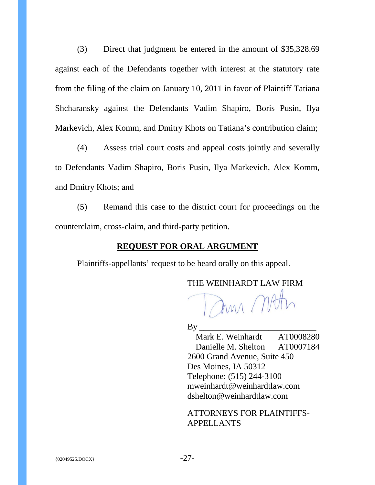(3) Direct that judgment be entered in the amount of \$35,328.69 against each of the Defendants together with interest at the statutory rate from the filing of the claim on January 10, 2011 in favor of Plaintiff Tatiana Shcharansky against the Defendants Vadim Shapiro, Boris Pusin, Ilya Markevich, Alex Komm, and Dmitry Khots on Tatiana's contribution claim;

(4) Assess trial court costs and appeal costs jointly and severally to Defendants Vadim Shapiro, Boris Pusin, Ilya Markevich, Alex Komm, and Dmitry Khots; and

(5) Remand this case to the district court for proceedings on the counterclaim, cross-claim, and third-party petition.

# **REQUEST FOR ORAL ARGUMENT**

<span id="page-31-0"></span>Plaintiffs-appellants' request to be heard orally on this appeal.

THE WEINHARDT LAW FIRM

Jun Mott

By \_\_\_\_\_\_\_\_\_\_\_\_\_\_\_\_\_\_\_\_\_\_\_\_\_\_\_

Mark E. Weinhardt AT0008280 Danielle M. Shelton AT0007184 2600 Grand Avenue, Suite 450 Des Moines, IA 50312 Telephone: (515) 244-3100 mweinhardt@weinhardtlaw.com dshelton@weinhardtlaw.com

ATTORNEYS FOR PLAINTIFFS-APPELLANTS